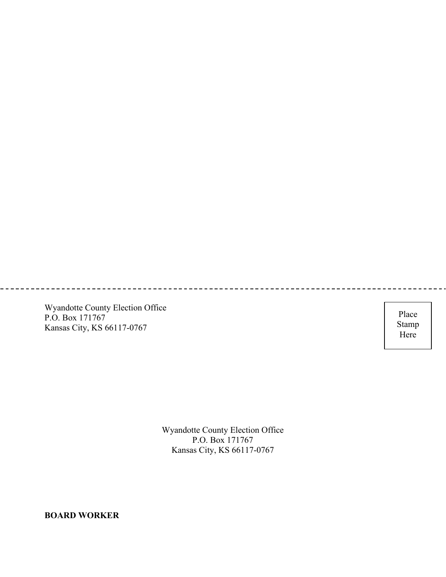Wyandotte County Election Office P.O. Box 171767 Kansas City, KS 66117-0767

Place Stamp Here

Wyandotte County Election Office P.O. Box 171767 Kansas City, KS 66117-0767

**BOARD WORKER**